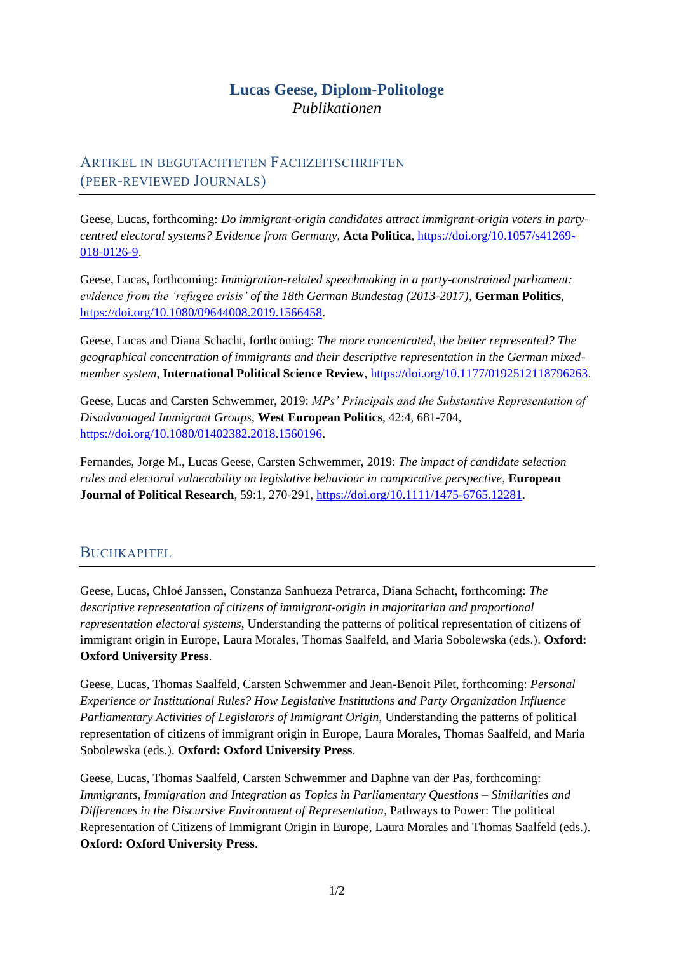## **Lucas Geese, Diplom-Politologe** *Publikationen*

## ARTIKEL IN BEGUTACHTETEN FACHZEITSCHRIFTEN (PEER-REVIEWED JOURNALS)

Geese, Lucas, forthcoming: *Do immigrant-origin candidates attract immigrant-origin voters in partycentred electoral systems? Evidence from Germany*, **Acta Politica**, [https://doi.org/10.1057/s41269-](https://doi.org/10.1057/s41269-018-0126-9) [018-0126-9.](https://doi.org/10.1057/s41269-018-0126-9)

Geese, Lucas, forthcoming: *Immigration-related speechmaking in a party-constrained parliament: evidence from the 'refugee crisis' of the 18th German Bundestag (2013-2017)*, **German Politics***,*  [https://doi.org/10.1080/09644008.2019.1566458.](https://doi.org/10.1080/09644008.2019.1566458)

Geese, Lucas and Diana Schacht, forthcoming: *The more concentrated, the better represented? The geographical concentration of immigrants and their descriptive representation in the German mixedmember system*, **International Political Science Review**, [https://doi.org/10.1177/0192512118796263.](https://doi.org/10.1177/0192512118796263)

Geese, Lucas and Carsten Schwemmer, 2019: *MPs' Principals and the Substantive Representation of Disadvantaged Immigrant Groups*, **West European Politics**, 42:4, 681-704, [https://doi.org/10.1080/01402382.2018.1560196.](https://doi.org/10.1080/01402382.2018.1560196)

Fernandes, Jorge M., Lucas Geese, Carsten Schwemmer, 2019: *The impact of candidate selection rules and electoral vulnerability on legislative behaviour in comparative perspective*, **European Journal of Political Research***,* 59:1, 270-291, [https://doi.org/10.1111/1475-6765.12281.](https://doi.org/10.1111/1475-6765.12281)

## BUCHKAPITEL

Geese, Lucas, Chloé Janssen, Constanza Sanhueza Petrarca, Diana Schacht, forthcoming: *The descriptive representation of citizens of immigrant-origin in majoritarian and proportional representation electoral systems*, Understanding the patterns of political representation of citizens of immigrant origin in Europe, Laura Morales, Thomas Saalfeld, and Maria Sobolewska (eds.). **Oxford: Oxford University Press**.

Geese, Lucas, Thomas Saalfeld, Carsten Schwemmer and Jean-Benoit Pilet, forthcoming: *Personal Experience or Institutional Rules? How Legislative Institutions and Party Organization Influence Parliamentary Activities of Legislators of Immigrant Origin*, Understanding the patterns of political representation of citizens of immigrant origin in Europe, Laura Morales, Thomas Saalfeld, and Maria Sobolewska (eds.). **Oxford: Oxford University Press**.

Geese, Lucas, Thomas Saalfeld, Carsten Schwemmer and Daphne van der Pas, forthcoming: *Immigrants, Immigration and Integration as Topics in Parliamentary Questions – Similarities and Differences in the Discursive Environment of Representation*, Pathways to Power: The political Representation of Citizens of Immigrant Origin in Europe, Laura Morales and Thomas Saalfeld (eds.). **Oxford: Oxford University Press**.